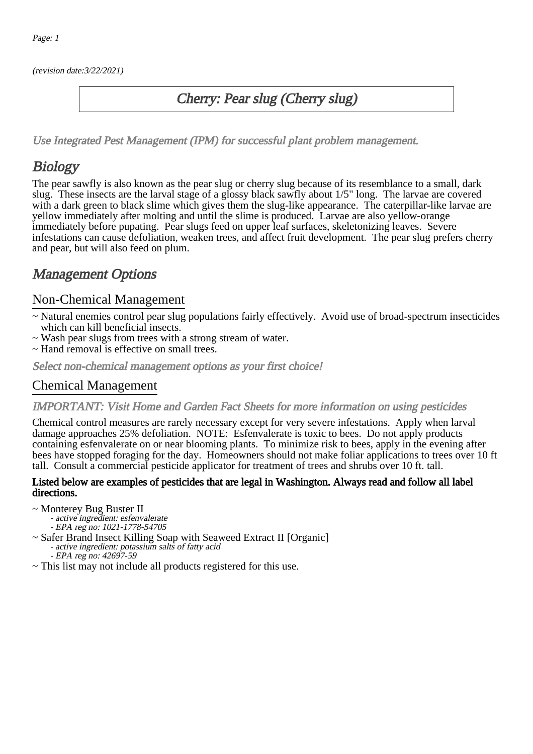(revision date:3/22/2021)

## Cherry: Pear slug (Cherry slug)

[Use Integrated Pest Management \(IPM\) for successful plant problem management.](http://pep.wsu.edu/Home_Garden/H_G_Pesticide_info/urban_Integrated_Pest_Managmen/)

## **Biology**

The pear sawfly is also known as the pear slug or cherry slug because of its resemblance to a small, dark slug. These insects are the larval stage of a glossy black sawfly about 1/5" long. The larvae are covered with a dark green to black slime which gives them the slug-like appearance. The caterpillar-like larvae are yellow immediately after molting and until the slime is produced. Larvae are also yellow-orange immediately before pupating. Pear slugs feed on upper leaf surfaces, skeletonizing leaves. Severe infestations can cause defoliation, weaken trees, and affect fruit development. The pear slug prefers cherry and pear, but will also feed on plum.

## Management Options

### Non-Chemical Management

- ~ Natural enemies control pear slug populations fairly effectively. Avoid use of broad-spectrum insecticides which can kill beneficial insects.
- ~ Wash pear slugs from trees with a strong stream of water.
- ~ Hand removal is effective on small trees.

Select non-chemical management options as your first choice!

### Chemical Management

IMPORTANT: [Visit Home and Garden Fact Sheets for more information on using pesticides](http://pep.wsu.edu/Home_Garden/H_G_Pesticide_info/)

Chemical control measures are rarely necessary except for very severe infestations. Apply when larval damage approaches 25% defoliation. NOTE: Esfenvalerate is toxic to bees. Do not apply products containing esfenvalerate on or near blooming plants. To minimize risk to bees, apply in the evening after bees have stopped foraging for the day. Homeowners should not make foliar applications to trees over 10 ft tall. Consult a commercial pesticide applicator for treatment of trees and shrubs over 10 ft. tall.

#### Listed below are examples of pesticides that are legal in Washington. Always read and follow all label directions.

~ Monterey Bug Buster II

- active ingredient: esfenvalerate
- EPA reg no: 1021-1778-54705
- ~ Safer Brand Insect Killing Soap with Seaweed Extract II [Organic] - active ingredient: potassium salts of fatty acid
	- EPA reg no: 42697-59
- ~ This list may not include all products registered for this use.